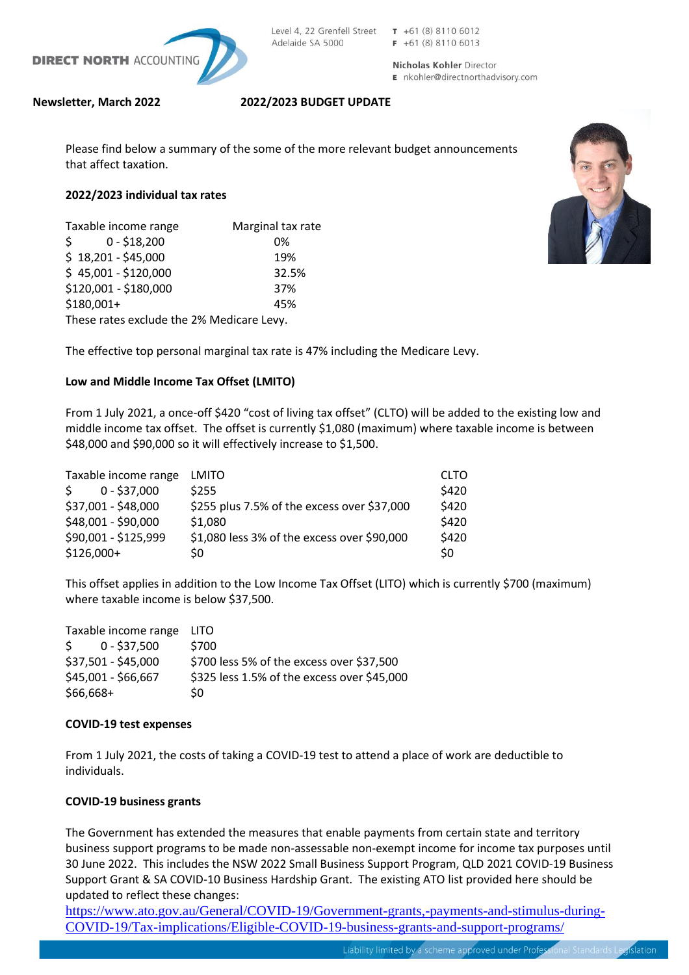

Level 4, 22 Grenfell Street T +61 (8) 8110 6012 Adelaide SA 5000

 $F + 61(8) 8110 6013$ 

Nicholas Kohler Director E nkohler@directnorthadvisory.com

# **Newsletter, March 2022 2022/2023 BUDGET UPDATE**

Please find below a summary of the some of the more relevant budget announcements that affect taxation.

## **2022/2023 individual tax rates**

| Taxable income range                      | Marginal tax rate |  |  |  |
|-------------------------------------------|-------------------|--|--|--|
| $0 - $18,200$<br>\$                       | 0%                |  |  |  |
| $$18,201 - $45,000$                       | 19%               |  |  |  |
| $$45,001 - $120,000$                      | 32.5%             |  |  |  |
| \$120,001 - \$180,000                     | 37%               |  |  |  |
| \$180,001+                                | 45%               |  |  |  |
| These rates exclude the 2% Medicare Levy. |                   |  |  |  |
|                                           |                   |  |  |  |

The effective top personal marginal tax rate is 47% including the Medicare Levy.

# **Low and Middle Income Tax Offset (LMITO)**

From 1 July 2021, a once-off \$420 "cost of living tax offset" (CLTO) will be added to the existing low and middle income tax offset. The offset is currently \$1,080 (maximum) where taxable income is between \$48,000 and \$90,000 so it will effectively increase to \$1,500.

| Taxable income range          | LMITO                                       | <b>CLTO</b> |
|-------------------------------|---------------------------------------------|-------------|
| $0 - $37,000$<br>$\mathsf{S}$ | \$255                                       | \$420       |
| \$37,001 - \$48,000           | \$255 plus 7.5% of the excess over \$37,000 | \$420       |
| \$48,001 - \$90,000           | \$1,080                                     | \$420       |
| \$90,001 - \$125,999          | \$1,080 less 3% of the excess over \$90,000 | \$420       |
| $$126,000+$                   | \$0                                         | S0          |

This offset applies in addition to the Low Income Tax Offset (LITO) which is currently \$700 (maximum) where taxable income is below \$37,500.

| Taxable income range | LITO.                                       |
|----------------------|---------------------------------------------|
| $$0 - $37,500$       | \$700                                       |
| \$37,501 - \$45,000  | \$700 less 5% of the excess over \$37,500   |
| \$45,001 - \$66,667  | \$325 less 1.5% of the excess over \$45,000 |
| $$66,668+$           | S0.                                         |

## **COVID-19 test expenses**

From 1 July 2021, the costs of taking a COVID-19 test to attend a place of work are deductible to individuals.

## **COVID-19 business grants**

The Government has extended the measures that enable payments from certain state and territory business support programs to be made non-assessable non-exempt income for income tax purposes until 30 June 2022. This includes the NSW 2022 Small Business Support Program, QLD 2021 COVID-19 Business Support Grant & SA COVID-10 Business Hardship Grant. The existing ATO list provided here should be updated to reflect these changes:

[https://www.ato.gov.au/General/COVID-19/Government-grants,-payments-and-stimulus-during-](https://www.ato.gov.au/General/COVID-19/Government-grants,-payments-and-stimulus-during-COVID-19/Tax-implications/Eligible-COVID-19-business-grants-and-support-programs/)[COVID-19/Tax-implications/Eligible-COVID-19-business-grants-and-support-programs/](https://www.ato.gov.au/General/COVID-19/Government-grants,-payments-and-stimulus-during-COVID-19/Tax-implications/Eligible-COVID-19-business-grants-and-support-programs/)